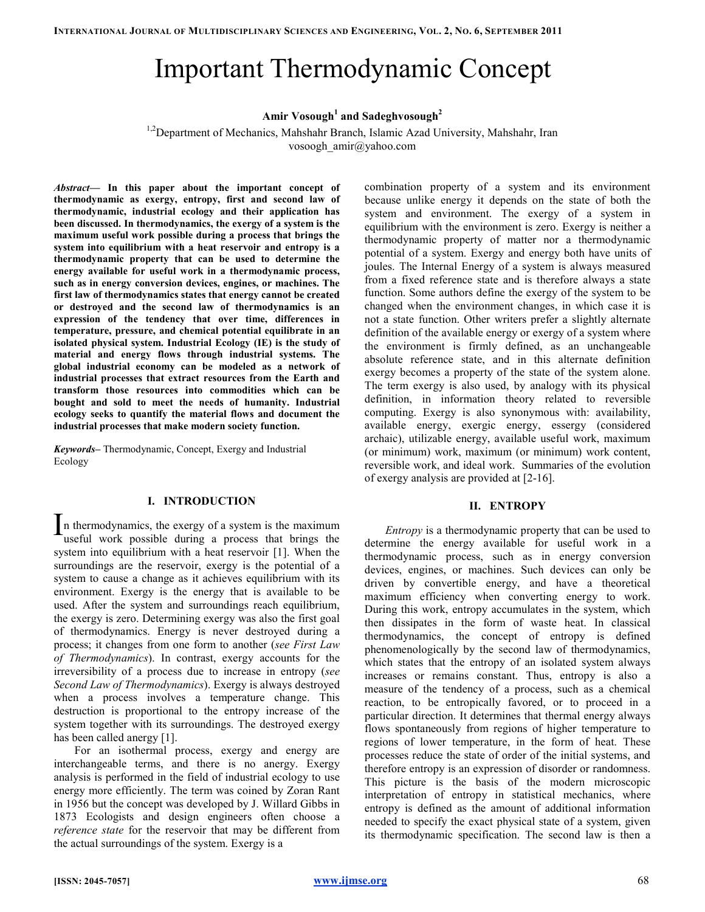# Important Thermodynamic Concept

Amir Vosough $^1$  and Sadeghvosough $^2$ 

<sup>1,2</sup>Department of Mechanics, Mahshahr Branch, Islamic Azad University, Mahshahr, Iran vosoogh\_amir@yahoo.com

Abstract— In this paper about the important concept of thermodynamic as exergy, entropy, first and second law of thermodynamic, industrial ecology and their application has been discussed. In thermodynamics, the exergy of a system is the maximum useful work possible during a process that brings the system into equilibrium with a heat reservoir and entropy is a thermodynamic property that can be used to determine the energy available for useful work in a thermodynamic process, such as in energy conversion devices, engines, or machines. The first law of thermodynamics states that energy cannot be created or destroyed and the second law of thermodynamics is an expression of the tendency that over time, differences in temperature, pressure, and chemical potential equilibrate in an isolated physical system. Industrial Ecology (IE) is the study of material and energy flows through industrial systems. The global industrial economy can be modeled as a network of industrial processes that extract resources from the Earth and transform those resources into commodities which can be bought and sold to meet the needs of humanity. Industrial ecology seeks to quantify the material flows and document the industrial processes that make modern society function.

Keywords– Thermodynamic, Concept, Exergy and Industrial Ecology

# I. INTRODUCTION

n thermodynamics, the exergy of a system is the maximum useful work possible during a process that brings the system into equilibrium with a heat reservoir [1]. When the surroundings are the reservoir, exergy is the potential of a system to cause a change as it achieves equilibrium with its environment. Exergy is the energy that is available to be used. After the system and surroundings reach equilibrium, the exergy is zero. Determining exergy was also the first goal of thermodynamics. Energy is never destroyed during a process; it changes from one form to another (see First Law of Thermodynamics). In contrast, exergy accounts for the irreversibility of a process due to increase in entropy (see Second Law of Thermodynamics). Exergy is always destroyed when a process involves a temperature change. This destruction is proportional to the entropy increase of the system together with its surroundings. The destroyed exergy has been called anergy [1]. I

For an isothermal process, exergy and energy are interchangeable terms, and there is no anergy. Exergy analysis is performed in the field of industrial ecology to use energy more efficiently. The term was coined by Zoran Rant in 1956 but the concept was developed by J. Willard Gibbs in 1873 Ecologists and design engineers often choose a reference state for the reservoir that may be different from the actual surroundings of the system. Exergy is a

combination property of a system and its environment because unlike energy it depends on the state of both the system and environment. The exergy of a system in equilibrium with the environment is zero. Exergy is neither a thermodynamic property of matter nor a thermodynamic potential of a system. Exergy and energy both have units of joules. The Internal Energy of a system is always measured from a fixed reference state and is therefore always a state function. Some authors define the exergy of the system to be changed when the environment changes, in which case it is not a state function. Other writers prefer a slightly alternate definition of the available energy or exergy of a system where the environment is firmly defined, as an unchangeable absolute reference state, and in this alternate definition exergy becomes a property of the state of the system alone. The term exergy is also used, by analogy with its physical definition, in information theory related to reversible computing. Exergy is also synonymous with: availability, available energy, exergic energy, essergy (considered archaic), utilizable energy, available useful work, maximum (or minimum) work, maximum (or minimum) work content, reversible work, and ideal work. Summaries of the evolution of exergy analysis are provided at [2-16].

## II. ENTROPY

Entropy is a thermodynamic property that can be used to determine the energy available for useful work in a thermodynamic process, such as in energy conversion devices, engines, or machines. Such devices can only be driven by convertible energy, and have a theoretical maximum efficiency when converting energy to work. During this work, entropy accumulates in the system, which then dissipates in the form of waste heat. In classical thermodynamics, the concept of entropy is defined phenomenologically by the second law of thermodynamics, which states that the entropy of an isolated system always increases or remains constant. Thus, entropy is also a measure of the tendency of a process, such as a chemical reaction, to be entropically favored, or to proceed in a particular direction. It determines that thermal energy always flows spontaneously from regions of higher temperature to regions of lower temperature, in the form of heat. These processes reduce the state of order of the initial systems, and therefore entropy is an expression of disorder or randomness. This picture is the basis of the modern microscopic interpretation of entropy in statistical mechanics, where entropy is defined as the amount of additional information needed to specify the exact physical state of a system, given its thermodynamic specification. The second law is then a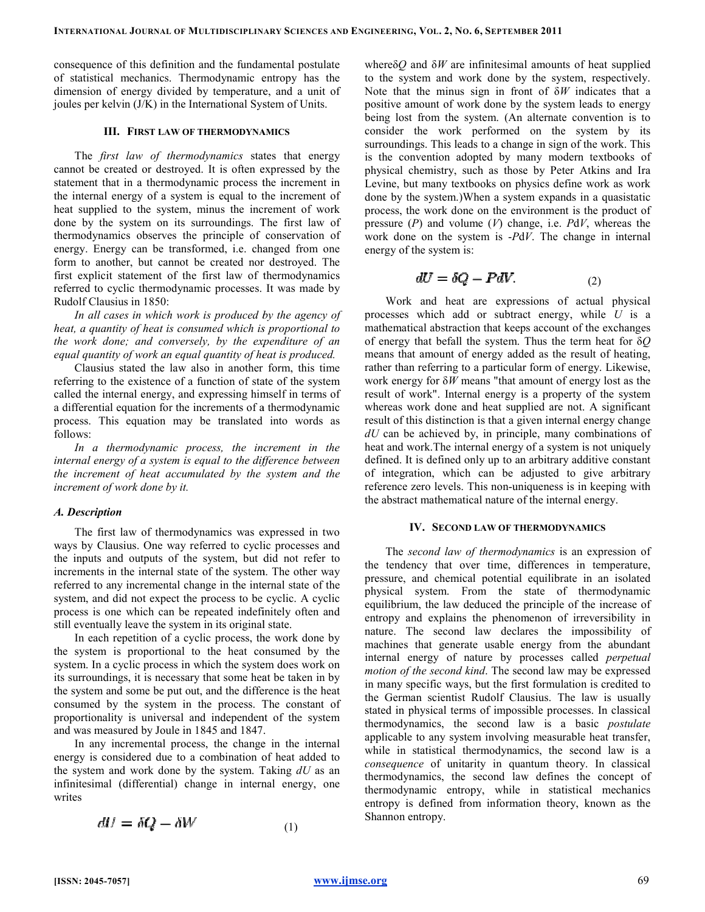consequence of this definition and the fundamental postulate of statistical mechanics. Thermodynamic entropy has the of statistical mechanics. Thermodynamic entropy has the dimension of energy divided by temperature, and a unit of joules per kelvin (J/K) in the International System of Units.

#### III. FIRST LAW OF THERMODYNAMICS

The first law of thermodynamics states that energy cannot be created or destroyed. It is often expressed by the statement that in a thermodynamic process the increment in the internal energy of a system is equal to the increment of heat supplied to the system, minus the increment of work done by the system on its surroundings. The first law of thermodynamics observes the principle of conservation of energy. Energy can be transformed, i.e. changed from one form to another, but cannot be created nor destroyed. The first explicit statement of the first law of thermodynamics referred to cyclic thermodynamic processes. It was made by Rudolf Clausius in 1850: of the created or destroyed. It is often expressed by the ment that in a thermodynamic process the increment in ternal energy of a system is equal to the increment of supplied to the system, minus the increment of work

In all cases in which work is produced by the agency of heat, a quantity of heat is consumed which is proportional to the work done; and conversely, by the expenditure of an equal quantity of work an equal quantity of heat is produced all cases in which work is produced by the agency of quantity of heat is consumed which is proportional to the expenditure of all unity of work an equal quantity of heat is produced.

Clausius stated the law also in another form, this time referring to the existence of a function of state of the system called the internal energy, and expressing himself in terms of a differential equation for the increments of a thermodynamic process. This equation may be translated into words as follows: stated the law also in another form, this time<br>e existence of a function of state of the system<br>rnal energy, and expressing himself in terms of<br>equation for the increments of a thermodynamic

In a thermodynamic process, the increment in the internal energy of a system is equal to the difference between internal energy of a system is equal to the difference between<br>the increment of heat accumulated by the system and the increment of work done by it.

# A. Description

The first law of thermodynamics was expressed in two ways by Clausius. One way referred to cyclic processes and the inputs and outputs of the system, but did not refer to increments in the internal state of the system. The other way referred to any incremental change in the internal state of the system, and did not expect the process to be cyclic. A cyclic process is one which can be repeated indefinitely often and still eventually leave the system in its original state. The first law of thermodynamics was expressed in two ways by Clausius. One way referred to cyclic processes and the inputs and outputs of the system, but did not refer to increments in the internal state of the system. The

In each repetition of a cyclic process, the work done by the system is proportional to the heat consumed by system. In a cyclic process in which the system does work on its surroundings, it is necessary that some heat be taken in by the system and some be put out, and the difference is the heat consumed by the system in the process. The constant of proportionality is universal and independent of the system and was measured by Joule in 1845 and 1847. system. In a cyclic process in which the system does work on<br>its surroundings, it is necessary that some heat be taken in by<br>the system and some be put out, and the difference is the heat<br>consumed by the system in the proc

In any incremental process, the change in the internal energy is considered due to a combination of heat added to the system and work done by the system. Taking  $dU$  as an infinitesimal (differential) change in internal energy, one<br>writes<br> $dU = \delta Q - \delta W$  (1) writes

$$
dU = \delta Q - \delta W \tag{1}
$$

where  $\delta Q$  and  $\delta W$  are infinitesimal amounts of heat supplied to the system and work done by the system, respectively. where  $\delta Q$  and  $\delta W$  are infinitesimal amounts of heat supplied to the system and work done by the system, respectively.<br>Note that the minus sign in front of  $\delta W$  indicates that a positive amount of work done by the system leads to energy being lost from the system. (An alternate convention is to consider the work performed on the system by its surroundings. This leads to a change in sign of the work. This is the convention adopted by many modern textbooks of positive amount of work done by the system leads to energy being lost from the system. (An alternate convention is to consider the work performed on the system by its surroundings. This leads to a change in sign of the wor Levine, but many textbooks on physics define work as work Levine, but many textbooks on physics define work as work<br>done by the system.)When a system expands in a quasistatic process, the work done on the environment is the product of pressure  $(P)$  and volume  $(V)$  change, i.e.  $PdV$ , whereas the work done on the system is -PdV . The change in internal energy of the system is:

$$
dU = \delta Q - P dV. \tag{2}
$$

Work and heat are expressions of actual physical processes which add or subtract energy, while  $U$  is a mathematical abstraction that keeps account of the exchanges mathematical abstraction that keeps account of the exchanges<br>of energy that befall the system. Thus the term heat for  $\delta Q$ means that amount of energy added as the result of heating, rather than referring to a particular form of energy. Likewise, work energy for  $\delta W$  means "that amount of energy lost as the result of work". Internal energy is a property of the system whereas work done and heat supplied are not. A significant result of this distinction is that a given internal energy change  $dU$  can be achieved by, in principle, many combinations of heat and work.The internal energy of a system is not uniquely defined. It is defined only up to an arbitrary additive constant of integration, which can be adjusted to give arbitrary reference zero levels. This non-uniqueness is in keeping with the abstract mathematical nature of the means that amount of energy added as the result of heating, rather than referring to a particular form of energy. Likewise, work energy for  $\delta W$  means "that amount of energy lost as the result of work". Internal energy i

# IV. SECOND LAW OF THERMODYNAMICS

The second law of thermodynamics is an expression of the tendency that over time, differences in temperature, pressure, and chemical potential equilibrate in an isolated the tendency that over time, differences in temperature, pressure, and chemical potential equilibrate in an isolated physical system. From the state of thermodynamic equilibrium, the law deduced the principle of the increase of entropy and explains the phenomenon of irreversibility in nature. The second law declares the impossibility of nature. The second law declares the impossibility of machines that generate usable energy from the abundant internal energy of nature by processes called *perpetual* motion of the second kind. The second law may be expressed in many specific ways, but the first formulation is credited to motion of the second kind. The second law may be expressed<br>in many specific ways, but the first formulation is credited to<br>the German scientist Rudolf Clausius. The law is usually stated in physical terms of impossible processes. In classical thermodynamics, the second law is a basic *postulate* applicable to any system involving measurable heat transfer, while in statistical thermodynamics, the second law is a consequence of unitarity in quantum theory. In classical thermodynamics, the second law defines the concept of thermodynamic entropy, while in statistical mechanics thermodynamic entropy, while in statistical mechanics<br>entropy is defined from information theory, known as the Shannon entropy.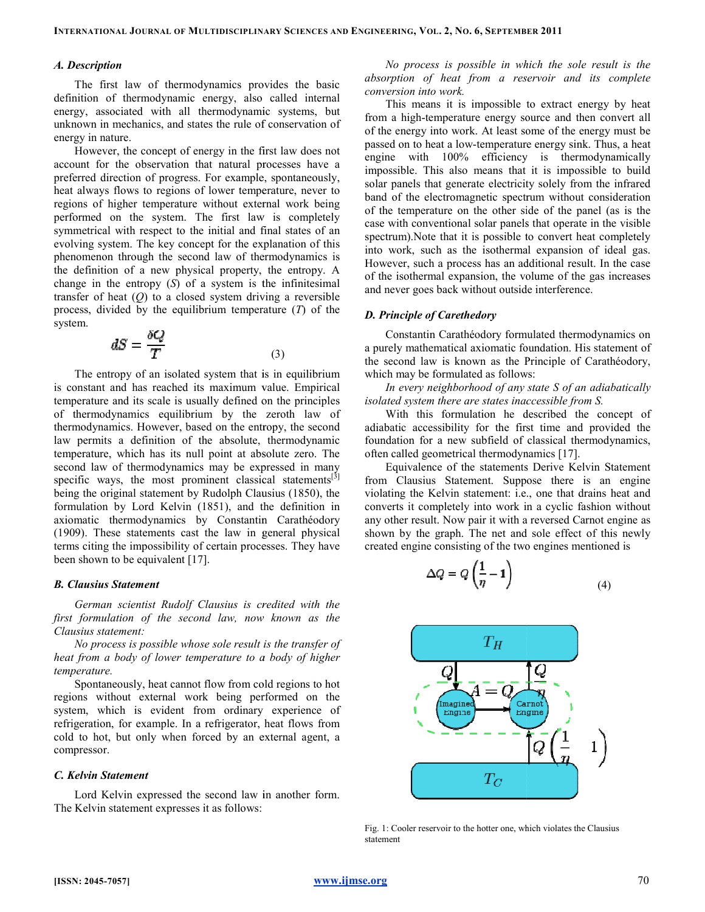#### A. Description

The first law of thermodynamics provides the basic definition of thermodynamic energy, also called internal energy, associated with all thermodynamic systems, but unknown in mechanics, and states the rule of conservation of energy in nature.

However, the concept of energy in the first law does not account for the observation that natural processes have a preferred direction of progress. For example, spontaneously, heat always flows to regions of lower temperature, never to regions of higher temperature without external work being performed on the system. The first law is completely symmetrical with respect to the initial and final states of an evolving system. The key concept for the explanation of this phenomenon through the second law of thermodynamics is the definition of a new physical property, the change in the entropy  $(S)$  of a system is the infinitesimal transfer of heat  $(Q)$  to a closed system driving a reversible process, divided by the equilibrium temperature  $(T)$  of the process, divided by the equilibrium temperature  $(T)$  of the system. unknown in mechanics, and states the rule of conservation of energy in nature.<br>
However, the concept of energy in the first law does not account for the observation that natural processes have a preferred direction of prog

$$
dS = \frac{\partial Q}{T} \tag{3}
$$

The entropy of an isolated system that is in equilibrium is constant and has reached its maximum value. Empirical temperature and its scale is usually defined on the principles temperature and its scale is usually defined on the principles<br>of thermodynamics equilibrium by the zeroth law of thermodynamics. However, based on the entropy, the second law permits a definition of the absolute, thermodynamic law permits a definition of the absolute, thermodynamic temperature, which has its null point at absolute zero. The second law of thermodynamics may be expressed in many specific ways, the most prominent classical statements<sup>[3]</sup> being the original statement by Rudolph Clausius (1850), the formulation by Lord Kelvin (1851), and the definition in formulation by Lord Kelvin (1851), and the definition in axiomatic thermodynamics by Constantin Carathéodory (1909). These statements cast the law in general physical (1909). These statements cast the law in general physical terms citing the impossibility of certain processes. They have been shown to be equivalent [17]. A Decoration of the external being on system in the system in the sole of the sole of the sole of the sole of the sole of the sole of the sole of the sole of the sole of the sole of the sole of the sole of the sole of the

#### B. Clausius Statement

German scientist Rudolf Clausius is credited with the first formulation of the second law, now known as the Clausius statement: scientist Rudolf Clausius is credited with<br>tion of the second law, now known as<br>ment:<br>ss is possible whose sole result is the transfe

No process is possible whose sole result is the transfer of heat from a body of lower temperature to a body of higher temperature.

Spontaneously, heat cannot flow from cold regions to hot regions without external work being performed on the system, which is evident from ordinary experience of refrigeration, for example. In a refrigerator, heat flows from cold to hot, but only when forced by an external agent, a compressor.

## C. Kelvin Statement

Lord Kelvin expressed the second law in another form. The Kelvin statement expresses it as follows:

absorption of heat from a reservoir and its complete conversion into work. No process is possible in which the sole result is the

This means it is impossible to extract energy by heat from a high-temperature energy source and then convert all of the energy into work. At least some of the energy passed on to heat a low-temperature energy sink. Thus, a heat engine with 100% efficiency is thermodynamically impossible. This also means that it is impossible to build solar panels that generate electricity solely from the infrared band of the electromagnetic spectrum without consideration of the temperature on the other side of the panel (as is the case with conventional solar panels that operate in the visible spectrum).Note that it is possible to convert heat completely into work, such as the isothermal expansion of ideal gas However, such a process has an additional result. In the case of the isothermal expansion, the volume of the gas increases of the isothermal expansion, the volume of the g and never goes back without outside interference. means it is impossible to extract energy by heat<br>gh-temperature energy source and then convert all<br>rgy into work. At least some of the energy must be passed on to heat a low-temperature energy sink. Thus, a heat engine with 100% efficiency is thermodynamically impossible. This also means that it is impossible to build solar panels that generate electricity solely from t

## D. Principle of Carethedory

Constantin Carathéodory formulated thermodynamics on a purely mathematical axiomatic foundation. His statement of the second law is known as the Principle of Carathéodory, which may be formulated as follows: and never goes back without outside interference.<br> **D. Principle of Carethedory**<br>
Constantin Carathéodory formulated thermodynamics<br>
a purely mathematical axiomatic foundation. His statement<br>
the second law is known as the

In every neighborhood of any state S of an adiabatically In every neighborhood of any state S of an adi<br>isolated system there are states inaccessible from S.

With this formulation he described the concept of adiabatic accessibility for the first time and provided the foundation for a new subfield of classical thermodynamics, foundation for a new subfield of classical the often called geometrical thermodynamics [17].

Equivalence of the statements Derive Kelvin Statement from Clausius Statement. Suppose there is an engine violating the Kelvin statement: i.e., one that drains heat and converts it completely into work in a cyclic fashion without converts it completely into work in a cyclic fashion without<br>any other result. Now pair it with a reversed Carnot engine as shown by the graph. The net and sole effect of this newly created engine consisting of the two engines mentioned is

by the graph. The net and sole effect of this  
engine consisting of the two engines mentioned  

$$
\Delta Q = Q \left( \frac{1}{\eta} - 1 \right)
$$
(4)



Fig. 1: Cooler reservoir to the hotter one, which violates the Clausius statement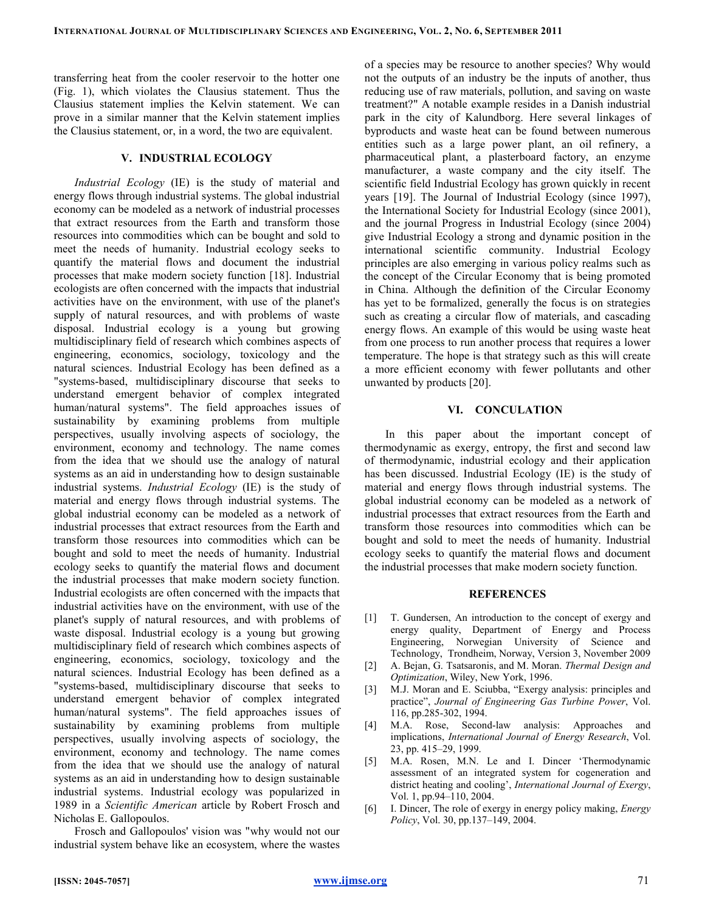transferring heat from the cooler reservoir to the hotter one (Fig. 1), which violates the Clausius statement. Thus the Clausius statement implies the Kelvin statement. We can prove in a similar manner that the Kelvin statement implies the Clausius statement, or, in a word, the two are equivalent.

# V. INDUSTRIAL ECOLOGY

Industrial Ecology (IE) is the study of material and energy flows through industrial systems. The global industrial economy can be modeled as a network of industrial processes that extract resources from the Earth and transform those resources into commodities which can be bought and sold to meet the needs of humanity. Industrial ecology seeks to quantify the material flows and document the industrial processes that make modern society function [18]. Industrial ecologists are often concerned with the impacts that industrial activities have on the environment, with use of the planet's supply of natural resources, and with problems of waste disposal. Industrial ecology is a young but growing multidisciplinary field of research which combines aspects of engineering, economics, sociology, toxicology and the natural sciences. Industrial Ecology has been defined as a "systems-based, multidisciplinary discourse that seeks to understand emergent behavior of complex integrated human/natural systems". The field approaches issues of sustainability by examining problems from multiple perspectives, usually involving aspects of sociology, the environment, economy and technology. The name comes from the idea that we should use the analogy of natural systems as an aid in understanding how to design sustainable industrial systems. Industrial Ecology (IE) is the study of material and energy flows through industrial systems. The global industrial economy can be modeled as a network of industrial processes that extract resources from the Earth and transform those resources into commodities which can be bought and sold to meet the needs of humanity. Industrial ecology seeks to quantify the material flows and document the industrial processes that make modern society function. Industrial ecologists are often concerned with the impacts that industrial activities have on the environment, with use of the planet's supply of natural resources, and with problems of waste disposal. Industrial ecology is a young but growing multidisciplinary field of research which combines aspects of engineering, economics, sociology, toxicology and the natural sciences. Industrial Ecology has been defined as a "systems-based, multidisciplinary discourse that seeks to understand emergent behavior of complex integrated human/natural systems". The field approaches issues of sustainability by examining problems from multiple perspectives, usually involving aspects of sociology, the environment, economy and technology. The name comes from the idea that we should use the analogy of natural systems as an aid in understanding how to design sustainable industrial systems. Industrial ecology was popularized in 1989 in a Scientific American article by Robert Frosch and Nicholas E. Gallopoulos.

Frosch and Gallopoulos' vision was "why would not our industrial system behave like an ecosystem, where the wastes of a species may be resource to another species? Why would not the outputs of an industry be the inputs of another, thus reducing use of raw materials, pollution, and saving on waste treatment?" A notable example resides in a Danish industrial park in the city of Kalundborg. Here several linkages of byproducts and waste heat can be found between numerous entities such as a large power plant, an oil refinery, a pharmaceutical plant, a plasterboard factory, an enzyme manufacturer, a waste company and the city itself. The scientific field Industrial Ecology has grown quickly in recent years [19]. The Journal of Industrial Ecology (since 1997), the International Society for Industrial Ecology (since 2001), and the journal Progress in Industrial Ecology (since 2004) give Industrial Ecology a strong and dynamic position in the international scientific community. Industrial Ecology principles are also emerging in various policy realms such as the concept of the Circular Economy that is being promoted in China. Although the definition of the Circular Economy has yet to be formalized, generally the focus is on strategies such as creating a circular flow of materials, and cascading energy flows. An example of this would be using waste heat from one process to run another process that requires a lower temperature. The hope is that strategy such as this will create a more efficient economy with fewer pollutants and other unwanted by products [20].

# VI. CONCULATION

In this paper about the important concept of thermodynamic as exergy, entropy, the first and second law of thermodynamic, industrial ecology and their application has been discussed. Industrial Ecology (IE) is the study of material and energy flows through industrial systems. The global industrial economy can be modeled as a network of industrial processes that extract resources from the Earth and transform those resources into commodities which can be bought and sold to meet the needs of humanity. Industrial ecology seeks to quantify the material flows and document the industrial processes that make modern society function.

#### **REFERENCES**

- [1] T. Gundersen, An introduction to the concept of exergy and energy quality, Department of Energy and Process Engineering, Norwegian University of Science and Technology, Trondheim, Norway, Version 3, November 2009
- [2] A. Bejan, G. Tsatsaronis, and M. Moran. Thermal Design and Optimization, Wiley, New York, 1996.
- [3] M.J. Moran and E. Sciubba, "Exergy analysis: principles and practice", Journal of Engineering Gas Turbine Power, Vol. 116, pp.285-302, 1994.
- [4] M.A. Rose, Second-law analysis: Approaches and implications, International Journal of Energy Research, Vol. 23, pp. 415–29, 1999.
- [5] M.A. Rosen, M.N. Le and I. Dincer 'Thermodynamic assessment of an integrated system for cogeneration and district heating and cooling', International Journal of Exergy, Vol. 1, pp.94–110, 2004.
- [6] I. Dincer, The role of exergy in energy policy making, Energy Policy, Vol. 30, pp.137–149, 2004.